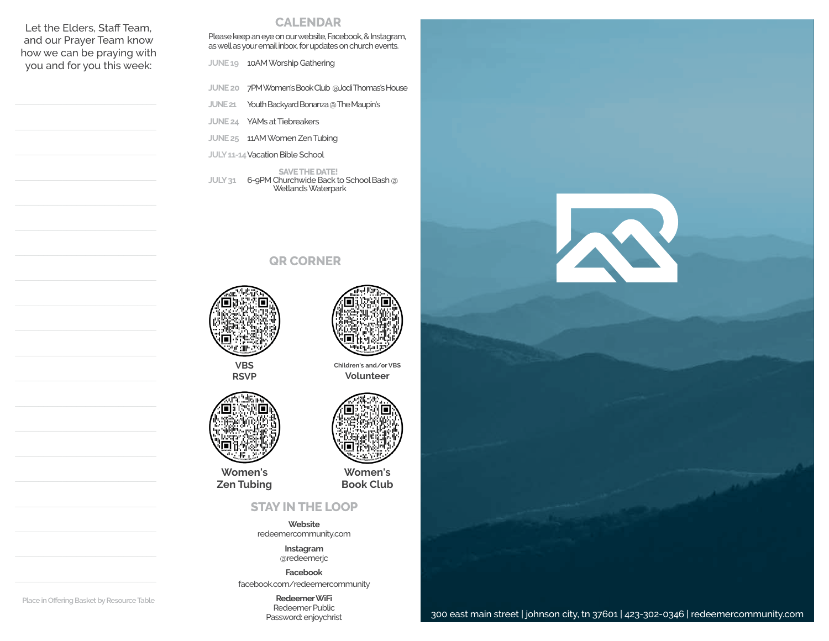Let the Elders, Staff Team, and our Prayer Team know how we can be praying with you and for you this week:

## **CALENDAR**

Please keep an eye on our website, Facebook, & Instagram, as well as your email inbox, for updates on church events.

 **JUNE 19** 10AM Worship Gathering

- **JUNE 20** 7PM Women's Book Club @Jodi Thomas's House
- **JUNE 21** Youth Backyard Bonanza @ The Maupin's

**JUNE 24** YAMs at Tiebreakers

**JUNE 25** 11AM Women Zen Tubing

**JULY 11-14** Vacation Bible School

**SAVE THE DATE! JULY 31** 6-9PM Churchwide Back to School Bash @ Wetlands Waterpark

## **QR CORNER**



**VBS RSVP**

**Women's Zen Tubing**



**Children's and/or VBS Volunteer**

**Women's Book Club**

## **STAY IN THE LOOP**

**Website** redeemercommunity.com

> **Instagram** @redeemerjc

**Facebook** facebook.com/redeemercommunity

> **Redeemer WiFi** Redeemer Public Password: enjoychrist



**Place in Offering Basket by Resource Table**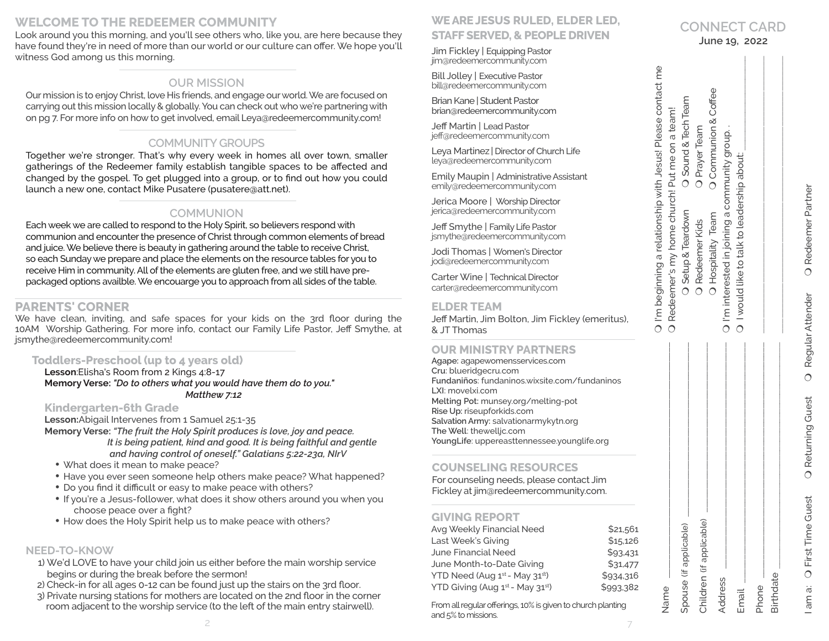# **WELCOME TO THE REDEEMER COMMUNITY**

Look around you this morning, and you'll see others who, like you, are here because they have found they're in need of more than our world or our culture can offer. We hope you'll witness God among us this morning.

# **OUR MISSION**

Our mission is to enjoy Christ, love His friends, and engage our world. We are focused on carrying out this mission locally & globally. You can check out who we're partnering with on pg 7. For more info on how to get involved, email Leya@redeemercommunity.com!

# **COMMUNITY GROUPS**

Together we're stronger. That's why every week in homes all over town, smaller gatherings of the Redeemer family establish tangible spaces to be affected and changed by the gospel. To get plugged into a group, or to find out how you could launch a new one, contact Mike Pusatere (pusatere@att.net).

## **COMMUNION**

Each week we are called to respond to the Holy Spirit, so believers respond with communion and encounter the presence of Christ through common elements of bread and juice. We believe there is beauty in gathering around the table to receive Christ, so each Sunday we prepare and place the elements on the resource tables for you to receive Him in community. All of the elements are gluten free, and we still have prepackaged options availble. We encouarge you to approach from all sides of the table.

# **PARENTS' CORNER**

We have clean, inviting, and safe spaces for your kids on the 3rd floor during the 10AM Worship Gathering. For more info, contact our Family Life Pastor, Jeff Smythe, at jsmythe@redeemercommunity.com!

## **Toddlers-Preschool (up to 4 years old)**

**Lesson**:Elisha's Room from 2 Kings 4:8-17 **Memory Verse:** *"Do to others what you would have them do to you." Matthew 7:12*

## **Kindergarten-6th Grade**

**Lesson:**Abigail Intervenes from 1 Samuel 25:1-35

**Memory Verse:** *"The fruit the Holy Spirit produces is love, joy and peace. It is being patient, kind and good. It is being faithful and gentle and having control of oneself." Galatians 5:22-23a, NIrV*

- What does it mean to make peace?
- Have you ever seen someone help others make peace? What happened?
- Do you find it difficult or easy to make peace with others?
- If you're a Jesus-follower, what does it show others around you when you choose peace over a fight?
- How does the Holy Spirit help us to make peace with others?

## **NEED-TO-KNOW**

- 1) We'd LOVE to have your child join us either before the main worship service begins or during the break before the sermon!
- 2) Check-in for all ages 0-12 can be found just up the stairs on the 3rd floor.
- 3) Private nursing stations for mothers are located on the 2nd floor in the corner room adjacent to the worship service (to the left of the main entry stairwell).

# **WE ARE JESUS RULED, ELDER LED, STAFF SERVED, & PEOPLE DRIVEN**

Jim Fickley | Equipping Pastor jim@redeemercommunity.com

Bill Jolley | Executive Pastor bill@redeemercommunity.com

Brian Kane | Student Pastor brian@redeemercommunity.com

Jeff Martin | Lead Pastor jeff@redeemercommunity.com

Leva Martinez | Director of Church Life leya@redeemercommunity.com

Emily Maupin | Administrative Assistant emily@redeemercommunity.com

Jerica Moore | Worship Director jerica@redeemercommunity.com

Jeff Smythe | Family Life Pastor jsmythe@redeemercommunity.com

Jodi Thomas | Women's Director jodi@redeemercommunity.com

Carter Wine | Technical Director carter@redeemercommunity.com

### **ELDER TEAM**

Jeff Martin, Jim Bolton, Jim Fickley (emeritus), & JT Thomas

## **OUR MINISTRY PARTNERS**

**Agape:** agapewomensservices.com **Cru**: blueridgecru.com **Fundaniños**: fundaninos.wixsite.com/fundaninos **LXI**: movelxi.com **Melting Pot:** munsey.org/melting-pot **Rise Up:** riseupforkids.com **Salvation Army:** salvationarmykytn.org **The Well**: thewelljc.com **YoungLife**: uppereasttennessee.younglife.org

## **COUNSELING RESOURCES**

For counseling needs, please contact Jim Fickley at jim@redeemercommunity.com.

## **GIVING REPORT**

| Avg Weekly Financial Need       | \$21,561  |
|---------------------------------|-----------|
| Last Week's Giving              | \$15,126  |
| June Financial Need             | \$93,431  |
| June Month-to-Date Giving       | \$31,477  |
| YTD Need (Aug 1st - May 31st)   | \$934,316 |
| YTD Giving (Aug 1st - May 31st) | \$993,382 |

2 and <u>magnetic control</u> and  $\frac{1}{2}$ From all regular offerings, 10% is given to church planting and 5% to missions.

| Marie<br>N                   | O Redeemer's my home church! Put me on a team! |                      |
|------------------------------|------------------------------------------------|----------------------|
|                              |                                                |                      |
| Spouse (if applicable        | O Setup & Teardown                             | O Sound & Tech Team  |
| Q<br>Children (if applicable | O Redeemer Kids                                | O Prayer Team        |
|                              | O Hospitality Team                             | O Communion & Coffee |
| Address                      | O I'm interested in joining a community group. |                      |
|                              |                                                |                      |
| Email                        | O I would like to talk to leadership about:    |                      |
|                              |                                                |                      |
| <sup>hone</sup>              |                                                |                      |
| Birthdate                    |                                                |                      |
|                              |                                                |                      |

Name

 $\bigcap$ 

I'm beginning a relationship with Jesus! Please contact me

I'm beginning a relationship with Jesus! Please contact me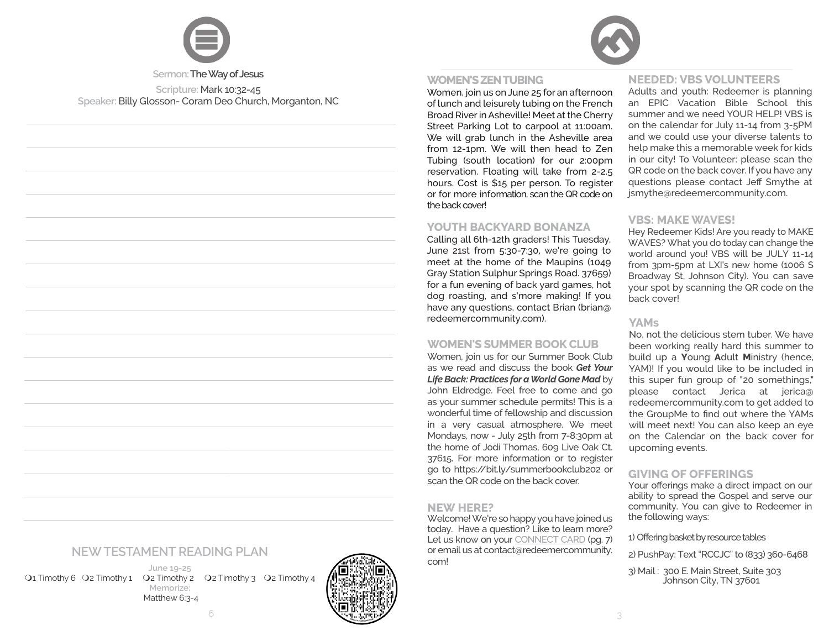

# **WOMEN'S ZEN TUBING**

Women, join us on June 25 for an afternoon of lunch and leisurely tubing on the French Broad River in Asheville! Meet at the Cherry Street Parking Lot to carpool at 11:00am. We will grab lunch in the Asheville area from 12-1pm. We will then head to Zen Tubing (south location) for our 2:00pm reservation. Floating will take from 2-2.5 hours. Cost is \$15 per person. To register or for more information, scan the QR code on the back cover!

## **YOUTH BACKYARD BONANZA**

Calling all 6th-12th graders! This Tuesday, June 21st from 5:30-7:30, we're going to meet at the home of the Maupins (1049 Gray Station Sulphur Springs Road. 37659) for a fun evening of back yard games, hot dog roasting, and s'more making! If you have any questions, contact Brian (brian@ redeemercommunity.com).

## **WOMEN'S SUMMER BOOK CLUB**

Women, join us for our Summer Book Club as we read and discuss the book *Get Your Life Back: Practices for a World Gone Mad* by John Eldredge. Feel free to come and go as your summer schedule permits! This is a wonderful time of fellowship and discussion in a very casual atmosphere. We meet Mondays, now - July 25th from 7-8:30pm at the home of Jodi Thomas, 609 Live Oak Ct. 37615. For more information or to register go to https://bit.ly/summerbookclub202 or scan the QR code on the back cover.

### **NEW HERE?**

Welcome! We're so happy you have joined us today. Have a question? Like to learn more? Let us know on your CONNECT CARD (pg. 7) or email us at contact@redeemercommunity. com!

### **NEEDED: VBS VOLUNTEERS**

Adults and youth: Redeemer is planning an EPIC Vacation Bible School this summer and we need YOUR HELP! VBS is on the calendar for July 11-14 from 3-5PM and we could use your diverse talents to help make this a memorable week for kids in our city! To Volunteer: please scan the QR code on the back cover. If you have any questions please contact Jeff Smythe at jsmythe@redeemercommunity.com.

#### **VBS: MAKE WAVES!**

Hey Redeemer Kids! Are you ready to MAKE WAVES? What you do today can change the world around you! VBS will be JULY 11-14 from 3pm-5pm at LXI's new home (1006 S Broadway St, Johnson City). You can save your spot by scanning the QR code on the back cover!

#### **YAMs**

No, not the delicious stem tuber. We have been working really hard this summer to build up a **Y**oung **A**dult **M**inistry (hence, YAM)! If you would like to be included in this super fun group of "20 somethings," please contact Jerica at jerica@ redeemercommunity.com to get added to the GroupMe to find out where the YAMs will meet next! You can also keep an eye on the Calendar on the back cover for upcoming events.

## **GIVING OF OFFERINGS**

Your offerings make a direct impact on our ability to spread the Gospel and serve our community. You can give to Redeemer in the following ways:

#### 1) Offering basket by resource tables

2) PushPay: Text "RCCJC" to (833) 360-6468

3) Mail : 300 E. Main Street, Suite 303 Johnson City, TN 37601**1**

# **NEW TESTAMENT READING PLAN**

O1 Timothy 6 O2 Timothy 1 O2 Timothy 2 O2 Timothy 3 O2 Timothy 4

**June 19-25 Memorize:** Matthew 6:3-4

**Sermon:The Way of Jesus Scripture:** Mark 10:32-45 **Speaker:** Billy Glosson- Coram Deo Church, Morganton, NC

6